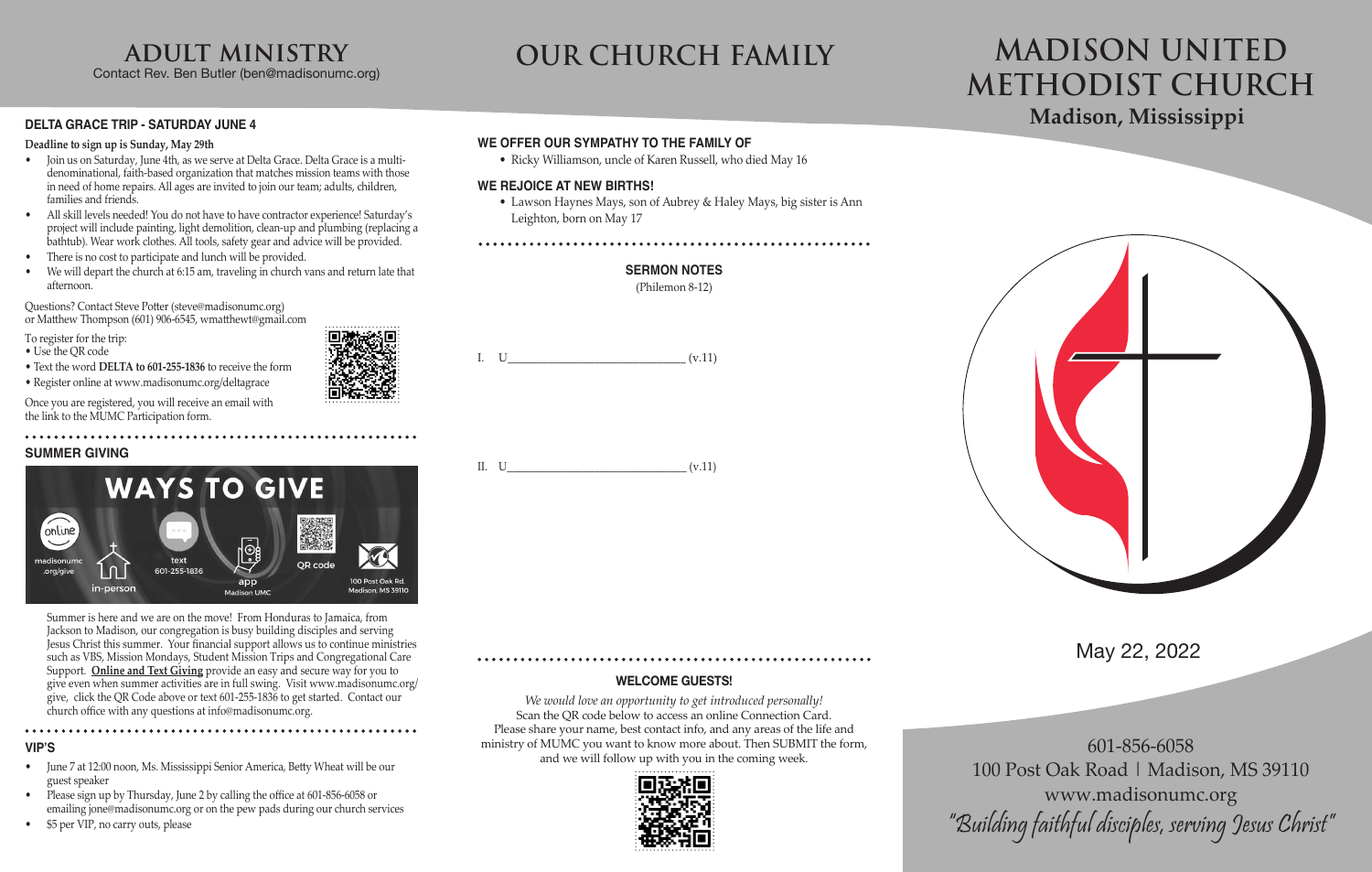### **DELTA GRACE TRIP - SATURDAY JUNE 4**

#### **Deadline to sign up is Sunday, May 29th**

- Join us on Saturday, June 4th, as we serve at Delta Grace. Delta Grace is a multidenominational, faith-based organization that matches mission teams with those in need of home repairs. All ages are invited to join our team; adults, children, families and friends.
- All skill levels needed! You do not have to have contractor experience! Saturday's project will include painting, light demolition, clean-up and plumbing (replacing a bathtub). Wear work clothes. All tools, safety gear and advice will be provided.
- There is no cost to participate and lunch will be provided.
- We will depart the church at 6:15 am, traveling in church vans and return late that afternoon.

Questions? Contact Steve Potter (steve@madisonumc.org) or Matthew Thompson (601) 906-6545, wmatthewt@gmail.com

To register for the trip:

- Use the QR code • Text the word **DELTA to 601-255-1836** to receive the form
- 
- Register online at www.madisonumc.org/deltagrace

Once you are registered, you will receive an email with the link to the MUMC Participation form.

### **SUMMER GIVING**



Summer is here and we are on the move! From Honduras to Jamaica, from Jackson to Madison, our congregation is busy building disciples and serving Jesus Christ this summer. Your financial support allows us to continue ministries such as VBS, Mission Mondays, Student Mission Trips and Congregational Care Support. **Online and Text Giving** provide an easy and secure way for you to give even when summer activities are in full swing. Visit www.madisonumc.org/ give, click the QR Code above or text 601-255-1836 to get started. Contact our church office with any questions at info@madisonumc.org.

#### **VIP'S**

- June 7 at 12:00 noon, Ms. Mississippi Senior America, Betty Wheat will be our guest speaker
- Please sign up by Thursday, June 2 by calling the office at 601-856-6058 or emailing jone@madisonumc.org or on the pew pads during our church services
- \$5 per VIP, no carry outs, please

601-856-6058 100 Post Oak Road | Madison, MS 39110 www.madisonumc.org "Building faithful disciples, serving Jesus Christ"

# May 22, 2022

# **Madison, Mississippi MADISON UNITED METHODIST CHURCH**

# **adult ministry**

Contact Rev. Ben Butler (ben@madisonumc.org)

# **OUR CHURCH FAMILY**

### **WELCOME GUESTS!**

*We would love an opportunity to get introduced personally!* Scan the OR code below to access an online Connection Card. Please share your name, best contact info, and any areas of the life and ministry of MUMC you want to know more about. Then SUBMIT the form, and we will follow up with you in the coming week.



### **WE OFFER OUR SYMPATHY TO THE FAMILY OF**

• Ricky Williamson, uncle of Karen Russell, who died May 16

### **WE REJOICE AT NEW BIRTHS!**

• Lawson Haynes Mays, son of Aubrey & Haley Mays, big sister is Ann Leighton, born on May 17

#### 



(Philemon 8-12)